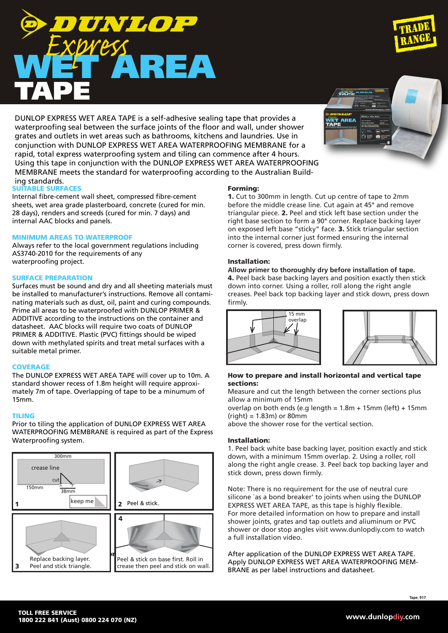# www.dunlopdiy.com



Prior to tiling the application of DUNLOP EXPRESS WET AREA Waterproofing system.

ADDITIVE according to the instructions on the container and datasheet. AAC blocks will require two coats of DUNLOP PRIMER & ADDITIVE. Plastic (PVC) fittings should be wiped down with methylated spirits and treat metal surfaces with a suitable metal primer.

Surfaces must be sound and dry and all sheeting materials must be installed to manufacturer's instructions. Remove all contaminating materials such as dust, oil, paint and curing compounds. Prime all areas to be waterproofed with DUNLOP PRIMER &

Internal fibre-cement wall sheet, compressed fibre-cement sheets, wet area grade plasterboard, concrete (cured for min. 28 days), renders and screeds (cured for min. 7 days) and

Always refer to the local government regulations including

# **COVERAGE**

ing standards.

SUITABLE SURFACES

waterproofing project.

SURFACE PREPARATION

internal AAC blocks and panels.

MINIMUM AREAS TO WATERPROOF

AS3740-2010 for the requirements of any

The DUNLOP EXPRESS WET AREA TAPE will cover up to 10m. A standard shower recess of 1.8m height will require approximately 7m of tape. Overlapping of tape to be a minumum of 15mm.

# TILING

WATERPROOFING MEMBRANE is required as part of the Express

#### Forming:

1. Cut to 300mm in length. Cut up centre of tape to 2mm before the middle crease line. Cut again at 45° and remove triangular piece. 2. Peel and stick left base section under the right base section to form a 90° corner. Replace backing layer on exposed left base "sticky" face. 3. Stick triangular section into the internal corner just formed ensuring the internal corner is covered, press down firmly.

#### Installation:

**Allow primer to thoroughly dry before installation of tape.** 4. Peel back base backing layers and position exactly then stick down into corner. Using a roller, roll along the right angle creases. Peel back top backing layer and stick down, press down firmly.



Measure and cut the length between the corner sections plus allow a minimum of 15mm

overlap on both ends (e.g length = 1.8m + 15mm (left) + 15mm  $(right) = 1.83m$ ) or 80mm

above the shower rose for the vertical section.

15 mm overlap

#### Installation:

1. Peel back white base backing layer, position exactly and stick down, with a minimum 15mm overlap. 2. Using a roller, roll along the right angle crease. 3. Peel back top backing layer and stick down, press down firmly.

Note: There is no requirement for the use of neutral cure silicone `as a bond breaker' to joints when using the DUNLOP EXPRESS WET AREA TAPE, as this tape is highly flexible. For more detailed information on how to prepare and install shower joints, grates and tap outlets and aliuminum or PVC shower or door stop angles visit www.dunlopdiy.com to watch a full installation video.

After application of the DUNLOP EXPRESS WET AREA TAPE. Apply DUNLOP EXPRESS WET AREA WATERPROOFING MEM-BRANE as per label instructions and datasheet.



grates and outlets in wet areas such as bathrooms, kitchens and laundries. Use in conjunction with DUNLOP EXPRESS WET AREA WATERPROOFING MEMBRANE for a rapid, total express waterproofing system and tiling can commence after 4 hours. Using this tape in conjunction with the DUNLOP EXPRESS WET AREA WATERPROOFING MEMBRANE meets the standard for waterproofing according to the Australian Build-